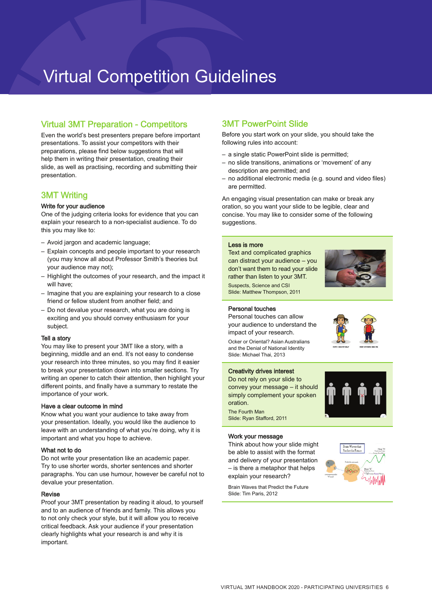# Virtual Competition Guidelines

# Virtual 3MT Preparation - Competitors

Even the world's best presenters prepare before important presentations. To assist your competitors with their preparations, please find below suggestions that will help them in writing their presentation, creating their slide, as well as practising, recording and submitting their presentation.

## 3MT Writing

## Write for your audience

One of the judging criteria looks for evidence that you can explain your research to a non-specialist audience. To do this you may like to:

- Avoid jargon and academic language;
- Explain concepts and people important to your research (you may know all about Professor Smith's theories but your audience may not);
- Highlight the outcomes of your research, and the impact it will have:
- Imagine that you are explaining your research to a close friend or fellow student from another field; and
- Do not devalue your research, what you are doing is exciting and you should convey enthusiasm for your subject.

## Tell a story

You may like to present your 3MT like a story, with a beginning, middle and an end. It's not easy to condense your research into three minutes, so you may find it easier to break your presentation down into smaller sections. Try writing an opener to catch their attention, then highlight your different points, and finally have a summary to restate the importance of your work.

## Have a clear outcome in mind

Know what you want your audience to take away from your presentation. Ideally, you would like the audience to leave with an understanding of what you're doing, why it is important and what you hope to achieve.

## What not to do

Do not write your presentation like an academic paper. Try to use shorter words, shorter sentences and shorter paragraphs. You can use humour, however be careful not to devalue your presentation.

## Revise

Proof your 3MT presentation by reading it aloud, to yourself and to an audience of friends and family. This allows you to not only check your style, but it will allow you to receive critical feedback. Ask your audience if your presentation clearly highlights what your research is and why it is important.

# 3MT PowerPoint Slide

Before you start work on your slide, you should take the following rules into account:

- a single static PowerPoint slide is permitted;
- no slide transitions, animations or 'movement' of any description are permitted; and
- no additional electronic media (e.g. sound and video files) are permitted.

An engaging visual presentation can make or break any oration, so you want your slide to be legible, clear and concise. You may like to consider some of the following suggestions.

## Less is more

Text and complicated graphics can distract your audience – you don't want them to read your slide rather than listen to your 3MT. Suspects, Science and CSI Slide: Matthew Thompson, 2011



## Personal touches

Personal touches can allow your audience to understand the impact of your research. Ocker or Oriental? Asian Australians and the Denial of National Identity Slide: Michael Thai, 2013



## Creativity drives interest

Do not rely on your slide to convey your message – it should simply complement your spoken oration. The Fourth Man Slide: Ryan Stafford, 2011



#### Work your message

Think about how your slide might be able to assist with the format and delivery of your presentation – is there a metaphor that helps explain your research?

Brain Waves that Predict the Future Slide: Tim Paris, 2012

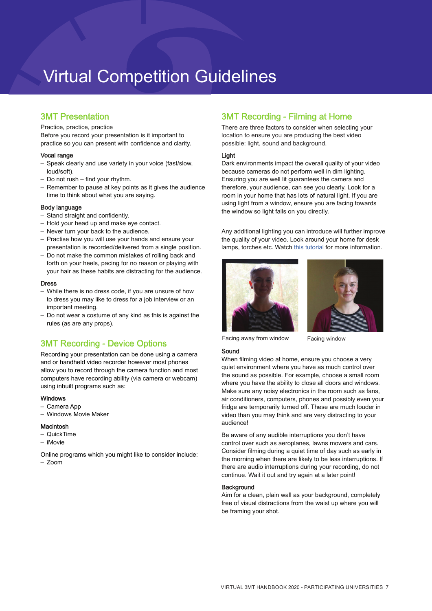# Virtual Competition Guidelines

# 3MT Presentation

Practice, practice, practice

Before you record your presentation is it important to practice so you can present with confidence and clarity.

## Vocal range

- Speak clearly and use variety in your voice (fast/slow, loud/soft).
- Do not rush find your rhythm.
- Remember to pause at key points as it gives the audience time to think about what you are saying.

#### Body language

- Stand straight and confidently.
- Hold your head up and make eye contact.
- Never turn your back to the audience.
- Practise how you will use your hands and ensure your presentation is recorded/delivered from a single position.
- Do not make the common mistakes of rolling back and forth on your heels, pacing for no reason or playing with your hair as these habits are distracting for the audience.

#### Dress

- While there is no dress code, if you are unsure of how to dress you may like to dress for a job interview or an important meeting.
- Do not wear a costume of any kind as this is against the rules (as are any props).

# 3MT Recording - Device Options

Recording your presentation can be done using a camera and or handheld video recorder however most phones allow you to record through the camera function and most computers have recording ability (via camera or webcam) using inbuilt programs such as:

#### Windows

- Camera App
- Windows Movie Maker

## Macintosh

- QuickTime
- iMovie

Online programs which you might like to consider include:

 $7$ oom

## 3MT Recording - Filming at Home

There are three factors to consider when selecting your location to ensure you are producing the best video possible: light, sound and background.

## Light

Dark environments impact the overall quality of your video because cameras do not perform well in dim lighting. Ensuring you are well lit guarantees the camera and therefore, your audience, can see you clearly. Look for a room in your home that has lots of natural light. If you are using light from a window, ensure you are facing towards the window so light falls on you directly.

Any additional lighting you can introduce will further improve the quality of your video. Look around your home for desk lamps, torches etc. Watch [this tutorial](https://www.youtube.com/watch?v=iJXKkFyuVi4) for more information.





Facing away from window Facing window

Sound When filming video at home, ensure you choose a very quiet environment where you have as much control over the sound as possible. For example, choose a small room where you have the ability to close all doors and windows. Make sure any noisy electronics in the room such as fans, air conditioners, computers, phones and possibly even your fridge are temporarily turned off. These are much louder in video than you may think and are very distracting to your

Be aware of any audible interruptions you don't have control over such as aeroplanes, lawns mowers and cars. Consider filming during a quiet time of day such as early in the morning when there are likely to be less interruptions. If there are audio interruptions during your recording, do not continue. Wait it out and try again at a later point!

#### **Background**

audience!

Aim for a clean, plain wall as your background, completely free of visual distractions from the waist up where you will be framing your shot.